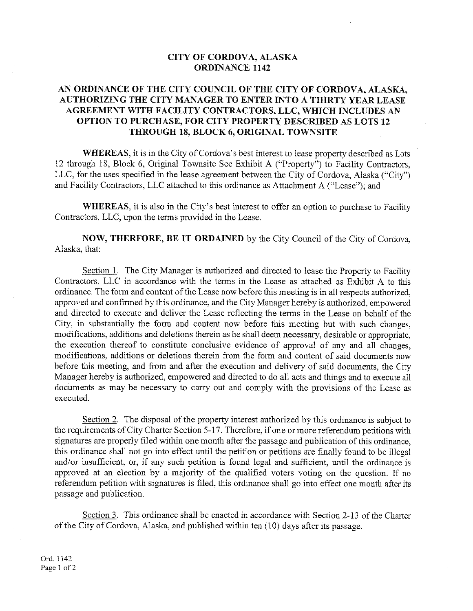#### CITY OF CORDOVA, ALASKA **ORDINANCE 1142**

#### AN ORDINANCE OF THE CITY COUNCIL OF THE CITY OF CORDOVA, ALASKA, AUTHORIZING THE CITY MANAGER TO ENTER INTO A THIRTY YEAR LEASE AGREEMENT WITH FACILITY CONTRACTORS, LLC, WHICH INCLUDES AN OPTION TO PURCHASE, FOR CITY PROPERTY DESCRIBED AS LOTS 12 THROUGH 18, BLOCK 6, ORIGINAL TOWNSITE

**WHEREAS**, it is in the City of Cordova's best interest to lease property described as Lots 12 through 18, Block 6, Original Townsite See Exhibit A ("Property") to Facility Contractors, LLC, for the uses specified in the lease agreement between the City of Cordova, Alaska ("City") and Facility Contractors, LLC attached to this ordinance as Attachment A ("Lease"); and

**WHEREAS**, it is also in the City's best interest to offer an option to purchase to Facility Contractors, LLC, upon the terms provided in the Lease.

NOW, THERFORE, BE IT ORDAINED by the City Council of the City of Cordova. Alaska, that:

Section 1. The City Manager is authorized and directed to lease the Property to Facility Contractors, LLC in accordance with the terms in the Lease as attached as Exhibit A to this ordinance. The form and content of the Lease now before this meeting is in all respects authorized, approved and confirmed by this ordinance, and the City Manager hereby is authorized, empowered and directed to execute and deliver the Lease reflecting the terms in the Lease on behalf of the City, in substantially the form and content now before this meeting but with such changes, modifications, additions and deletions therein as he shall deem necessary, desirable or appropriate, the execution thereof to constitute conclusive evidence of approval of any and all changes, modifications, additions or deletions therein from the form and content of said documents now before this meeting, and from and after the execution and delivery of said documents, the City Manager hereby is authorized, empowered and directed to do all acts and things and to execute all documents as may be necessary to carry out and comply with the provisions of the Lease as executed.

Section 2. The disposal of the property interest authorized by this ordinance is subject to the requirements of City Charter Section 5-17. Therefore, if one or more referendum petitions with signatures are properly filed within one month after the passage and publication of this ordinance. this ordinance shall not go into effect until the petition or petitions are finally found to be illegal and/or insufficient, or, if any such petition is found legal and sufficient, until the ordinance is approved at an election by a majority of the qualified voters voting on the question. If no referendum petition with signatures is filed, this ordinance shall go into effect one month after its passage and publication.

Section 3. This ordinance shall be enacted in accordance with Section 2-13 of the Charter of the City of Cordova, Alaska, and published within ten (10) days after its passage.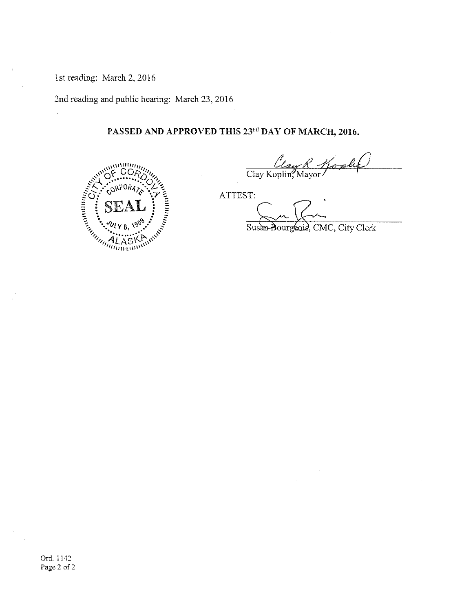1st reading: March 2, 2016

2nd reading and public hearing: March 23, 2016

# PASSED AND APPROVED THIS 23rd DAY OF MARCH, 2016.



Clay R Koplet

ATTEST:

Susan Bourgeois, CMC, City Clerk

Ord. 1142 Page 2 of 2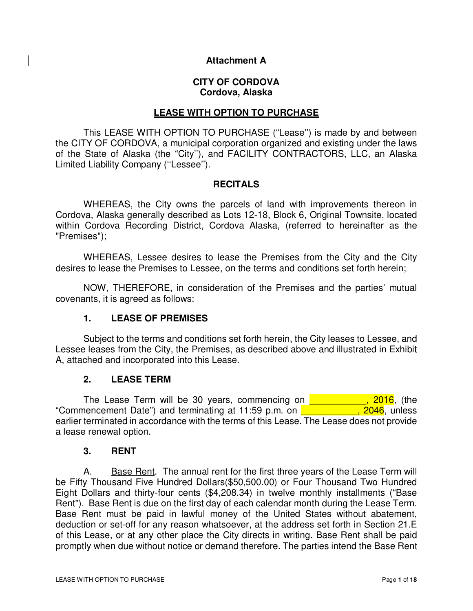#### **Attachment A**

#### **CITY OF CORDOVA Cordova, Alaska**

#### **LEASE WITH OPTION TO PURCHASE**

This LEASE WITH OPTION TO PURCHASE ("Lease'') is made by and between the CITY OF CORDOVA, a municipal corporation organized and existing under the laws of the State of Alaska (the "City''), and FACILITY CONTRACTORS, LLC, an Alaska Limited Liability Company (''Lessee'').

#### **RECITALS**

WHEREAS, the City owns the parcels of land with improvements thereon in Cordova, Alaska generally described as Lots 12-18, Block 6, Original Townsite, located within Cordova Recording District, Cordova Alaska, (referred to hereinafter as the "Premises");

WHEREAS, Lessee desires to lease the Premises from the City and the City desires to lease the Premises to Lessee, on the terms and conditions set forth herein;

NOW, THEREFORE, in consideration of the Premises and the parties' mutual covenants, it is agreed as follows:

#### **1. LEASE OF PREMISES**

Subject to the terms and conditions set forth herein, the City leases to Lessee, and Lessee leases from the City, the Premises, as described above and illustrated in Exhibit A, attached and incorporated into this Lease.

#### **2. LEASE TERM**

The Lease Term will be 30 years, commencing on **The Lease Term will be 30 years, commencing on** "Commencement Date") and terminating at 11:59 p.m. on  $\overline{ }$   $\overline{ }$   $\overline{ }$   $\overline{ }$   $\overline{ }$   $\overline{ }$   $\overline{ }$   $\overline{ }$   $\overline{ }$   $\overline{ }$   $\overline{ }$   $\overline{ }$   $\overline{ }$   $\overline{ }$   $\overline{ }$   $\overline{ }$   $\overline{ }$   $\overline{ }$   $\overline{ }$   $\overline{ }$   $\overline{ }$ earlier terminated in accordance with the terms of this Lease. The Lease does not provide a lease renewal option.

#### **3. RENT**

A. Base Rent. The annual rent for the first three years of the Lease Term will be Fifty Thousand Five Hundred Dollars(\$50,500.00) or Four Thousand Two Hundred Eight Dollars and thirty-four cents (\$4,208.34) in twelve monthly installments ("Base Rent"). Base Rent is due on the first day of each calendar month during the Lease Term. Base Rent must be paid in lawful money of the United States without abatement, deduction or set-off for any reason whatsoever, at the address set forth in Section 21.E of this Lease, or at any other place the City directs in writing. Base Rent shall be paid promptly when due without notice or demand therefore. The parties intend the Base Rent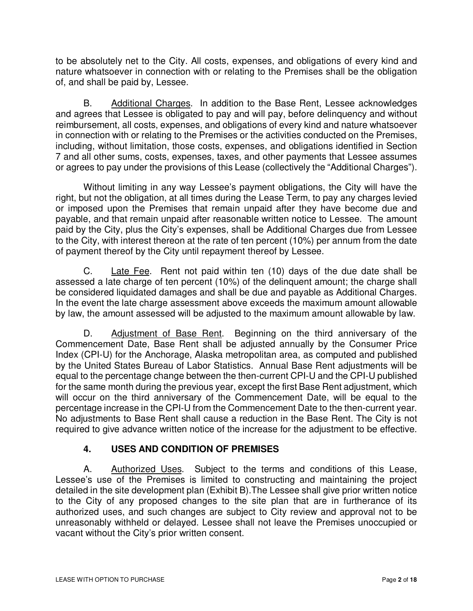to be absolutely net to the City. All costs, expenses, and obligations of every kind and nature whatsoever in connection with or relating to the Premises shall be the obligation of, and shall be paid by, Lessee.

B. Additional Charges. In addition to the Base Rent, Lessee acknowledges and agrees that Lessee is obligated to pay and will pay, before delinquency and without reimbursement, all costs, expenses, and obligations of every kind and nature whatsoever in connection with or relating to the Premises or the activities conducted on the Premises, including, without limitation, those costs, expenses, and obligations identified in Section 7 and all other sums, costs, expenses, taxes, and other payments that Lessee assumes or agrees to pay under the provisions of this Lease (collectively the "Additional Charges").

Without limiting in any way Lessee's payment obligations, the City will have the right, but not the obligation, at all times during the Lease Term, to pay any charges levied or imposed upon the Premises that remain unpaid after they have become due and payable, and that remain unpaid after reasonable written notice to Lessee. The amount paid by the City, plus the City's expenses, shall be Additional Charges due from Lessee to the City, with interest thereon at the rate of ten percent (10%) per annum from the date of payment thereof by the City until repayment thereof by Lessee.

C. Late Fee. Rent not paid within ten (10) days of the due date shall be assessed a late charge of ten percent (10%) of the delinquent amount; the charge shall be considered liquidated damages and shall be due and payable as Additional Charges. In the event the late charge assessment above exceeds the maximum amount allowable by law, the amount assessed will be adjusted to the maximum amount allowable by law.

D. Adjustment of Base Rent. Beginning on the third anniversary of the Commencement Date, Base Rent shall be adjusted annually by the Consumer Price Index (CPI-U) for the Anchorage, Alaska metropolitan area, as computed and published by the United States Bureau of Labor Statistics. Annual Base Rent adjustments will be equal to the percentage change between the then-current CPI-U and the CPI-U published for the same month during the previous year, except the first Base Rent adjustment, which will occur on the third anniversary of the Commencement Date, will be equal to the percentage increase in the CPI-U from the Commencement Date to the then-current year. No adjustments to Base Rent shall cause a reduction in the Base Rent. The City is not required to give advance written notice of the increase for the adjustment to be effective.

# **4. USES AND CONDITION OF PREMISES**

A. Authorized Uses. Subject to the terms and conditions of this Lease, Lessee's use of the Premises is limited to constructing and maintaining the project detailed in the site development plan (Exhibit B).The Lessee shall give prior written notice to the City of any proposed changes to the site plan that are in furtherance of its authorized uses, and such changes are subject to City review and approval not to be unreasonably withheld or delayed. Lessee shall not leave the Premises unoccupied or vacant without the City's prior written consent.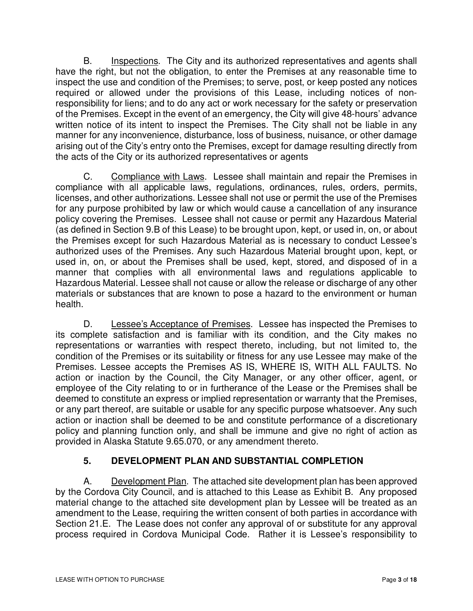B. Inspections. The City and its authorized representatives and agents shall have the right, but not the obligation, to enter the Premises at any reasonable time to inspect the use and condition of the Premises; to serve, post, or keep posted any notices required or allowed under the provisions of this Lease, including notices of nonresponsibility for liens; and to do any act or work necessary for the safety or preservation of the Premises. Except in the event of an emergency, the City will give 48-hours' advance written notice of its intent to inspect the Premises. The City shall not be liable in any manner for any inconvenience, disturbance, loss of business, nuisance, or other damage arising out of the City's entry onto the Premises, except for damage resulting directly from the acts of the City or its authorized representatives or agents

C. Compliance with Laws. Lessee shall maintain and repair the Premises in compliance with all applicable laws, regulations, ordinances, rules, orders, permits, licenses, and other authorizations. Lessee shall not use or permit the use of the Premises for any purpose prohibited by law or which would cause a cancellation of any insurance policy covering the Premises. Lessee shall not cause or permit any Hazardous Material (as defined in Section 9.B of this Lease) to be brought upon, kept, or used in, on, or about the Premises except for such Hazardous Material as is necessary to conduct Lessee's authorized uses of the Premises. Any such Hazardous Material brought upon, kept, or used in, on, or about the Premises shall be used, kept, stored, and disposed of in a manner that complies with all environmental laws and regulations applicable to Hazardous Material. Lessee shall not cause or allow the release or discharge of any other materials or substances that are known to pose a hazard to the environment or human health.

D. Lessee's Acceptance of Premises. Lessee has inspected the Premises to its complete satisfaction and is familiar with its condition, and the City makes no representations or warranties with respect thereto, including, but not limited to, the condition of the Premises or its suitability or fitness for any use Lessee may make of the Premises. Lessee accepts the Premises AS IS, WHERE IS, WITH ALL FAULTS. No action or inaction by the Council, the City Manager, or any other officer, agent, or employee of the City relating to or in furtherance of the Lease or the Premises shall be deemed to constitute an express or implied representation or warranty that the Premises, or any part thereof, are suitable or usable for any specific purpose whatsoever. Any such action or inaction shall be deemed to be and constitute performance of a discretionary policy and planning function only, and shall be immune and give no right of action as provided in Alaska Statute 9.65.070, or any amendment thereto.

# **5. DEVELOPMENT PLAN AND SUBSTANTIAL COMPLETION**

A. Development Plan. The attached site development plan has been approved by the Cordova City Council, and is attached to this Lease as Exhibit B. Any proposed material change to the attached site development plan by Lessee will be treated as an amendment to the Lease, requiring the written consent of both parties in accordance with Section 21.E. The Lease does not confer any approval of or substitute for any approval process required in Cordova Municipal Code. Rather it is Lessee's responsibility to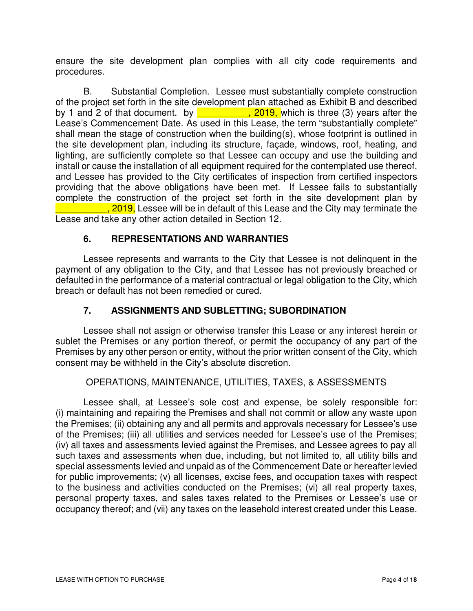ensure the site development plan complies with all city code requirements and procedures.

B. Substantial Completion. Lessee must substantially complete construction of the project set forth in the site development plan attached as Exhibit B and described by 1 and 2 of that document. by  $\overline{ }$ ,  $\overline{ }$ , 2019, which is three (3) years after the Lease's Commencement Date. As used in this Lease, the term "substantially complete" shall mean the stage of construction when the building(s), whose footprint is outlined in the site development plan, including its structure, façade, windows, roof, heating, and lighting, are sufficiently complete so that Lessee can occupy and use the building and install or cause the installation of all equipment required for the contemplated use thereof, and Lessee has provided to the City certificates of inspection from certified inspectors providing that the above obligations have been met. If Lessee fails to substantially complete the construction of the project set forth in the site development plan by . 2019, Lessee will be in default of this Lease and the City may terminate the Lease and take any other action detailed in Section 12.

### **6. REPRESENTATIONS AND WARRANTIES**

Lessee represents and warrants to the City that Lessee is not delinquent in the payment of any obligation to the City, and that Lessee has not previously breached or defaulted in the performance of a material contractual or legal obligation to the City, which breach or default has not been remedied or cured.

### **7. ASSIGNMENTS AND SUBLETTING; SUBORDINATION**

Lessee shall not assign or otherwise transfer this Lease or any interest herein or sublet the Premises or any portion thereof, or permit the occupancy of any part of the Premises by any other person or entity, without the prior written consent of the City, which consent may be withheld in the City's absolute discretion.

#### OPERATIONS, MAINTENANCE, UTILITIES, TAXES, & ASSESSMENTS

Lessee shall, at Lessee's sole cost and expense, be solely responsible for: (i) maintaining and repairing the Premises and shall not commit or allow any waste upon the Premises; (ii) obtaining any and all permits and approvals necessary for Lessee's use of the Premises; (iii) all utilities and services needed for Lessee's use of the Premises; (iv) all taxes and assessments levied against the Premises, and Lessee agrees to pay all such taxes and assessments when due, including, but not limited to, all utility bills and special assessments levied and unpaid as of the Commencement Date or hereafter levied for public improvements; (v) all licenses, excise fees, and occupation taxes with respect to the business and activities conducted on the Premises; (vi) all real property taxes, personal property taxes, and sales taxes related to the Premises or Lessee's use or occupancy thereof; and (vii) any taxes on the leasehold interest created under this Lease.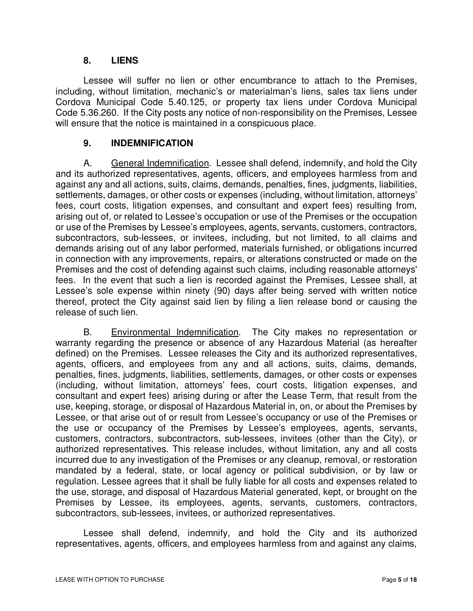#### **8. LIENS**

Lessee will suffer no lien or other encumbrance to attach to the Premises, including, without limitation, mechanic's or materialman's liens, sales tax liens under Cordova Municipal Code 5.40.125, or property tax liens under Cordova Municipal Code 5.36.260. If the City posts any notice of non-responsibility on the Premises, Lessee will ensure that the notice is maintained in a conspicuous place.

#### **9. INDEMNIFICATION**

A. General Indemnification. Lessee shall defend, indemnify, and hold the City and its authorized representatives, agents, officers, and employees harmless from and against any and all actions, suits, claims, demands, penalties, fines, judgments, liabilities, settlements, damages, or other costs or expenses (including, without limitation, attorneys' fees, court costs, litigation expenses, and consultant and expert fees) resulting from, arising out of, or related to Lessee's occupation or use of the Premises or the occupation or use of the Premises by Lessee's employees, agents, servants, customers, contractors, subcontractors, sub-lessees, or invitees, including, but not limited, to all claims and demands arising out of any labor performed, materials furnished, or obligations incurred in connection with any improvements, repairs, or alterations constructed or made on the Premises and the cost of defending against such claims, including reasonable attorneys' fees. In the event that such a lien is recorded against the Premises, Lessee shall, at Lessee's sole expense within ninety (90) days after being served with written notice thereof, protect the City against said lien by filing a lien release bond or causing the release of such lien.

B. Environmental Indemnification. The City makes no representation or warranty regarding the presence or absence of any Hazardous Material (as hereafter defined) on the Premises. Lessee releases the City and its authorized representatives, agents, officers, and employees from any and all actions, suits, claims, demands, penalties, fines, judgments, liabilities, settlements, damages, or other costs or expenses (including, without limitation, attorneys' fees, court costs, litigation expenses, and consultant and expert fees) arising during or after the Lease Term, that result from the use, keeping, storage, or disposal of Hazardous Material in, on, or about the Premises by Lessee, or that arise out of or result from Lessee's occupancy or use of the Premises or the use or occupancy of the Premises by Lessee's employees, agents, servants, customers, contractors, subcontractors, sub-lessees, invitees (other than the City), or authorized representatives. This release includes, without limitation, any and all costs incurred due to any investigation of the Premises or any cleanup, removal, or restoration mandated by a federal, state, or local agency or political subdivision, or by law or regulation. Lessee agrees that it shall be fully liable for all costs and expenses related to the use, storage, and disposal of Hazardous Material generated, kept, or brought on the Premises by Lessee, its employees, agents, servants, customers, contractors, subcontractors, sub-lessees, invitees, or authorized representatives.

Lessee shall defend, indemnify, and hold the City and its authorized representatives, agents, officers, and employees harmless from and against any claims,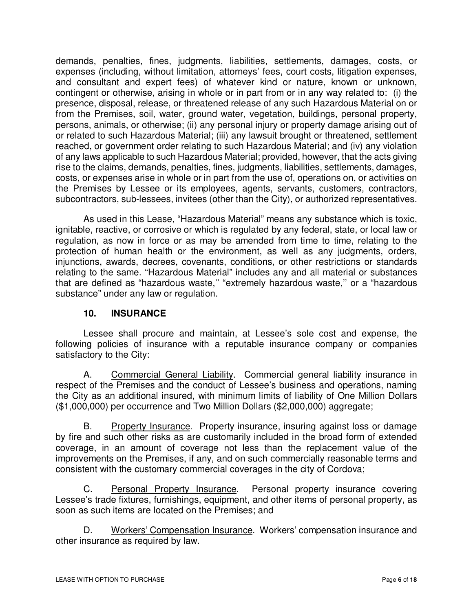demands, penalties, fines, judgments, liabilities, settlements, damages, costs, or expenses (including, without limitation, attorneys' fees, court costs, litigation expenses, and consultant and expert fees) of whatever kind or nature, known or unknown, contingent or otherwise, arising in whole or in part from or in any way related to: (i) the presence, disposal, release, or threatened release of any such Hazardous Material on or from the Premises, soil, water, ground water, vegetation, buildings, personal property, persons, animals, or otherwise; (ii) any personal injury or property damage arising out of or related to such Hazardous Material; (iii) any lawsuit brought or threatened, settlement reached, or government order relating to such Hazardous Material; and (iv) any violation of any laws applicable to such Hazardous Material; provided, however, that the acts giving rise to the claims, demands, penalties, fines, judgments, liabilities, settlements, damages, costs, or expenses arise in whole or in part from the use of, operations on, or activities on the Premises by Lessee or its employees, agents, servants, customers, contractors, subcontractors, sub-lessees, invitees (other than the City), or authorized representatives.

As used in this Lease, "Hazardous Material" means any substance which is toxic, ignitable, reactive, or corrosive or which is regulated by any federal, state, or local law or regulation, as now in force or as may be amended from time to time, relating to the protection of human health or the environment, as well as any judgments, orders, injunctions, awards, decrees, covenants, conditions, or other restrictions or standards relating to the same. "Hazardous Material" includes any and all material or substances that are defined as "hazardous waste,'' "extremely hazardous waste,'' or a "hazardous substance" under any law or regulation.

### **10. INSURANCE**

Lessee shall procure and maintain, at Lessee's sole cost and expense, the following policies of insurance with a reputable insurance company or companies satisfactory to the City:

A. Commercial General Liability. Commercial general liability insurance in respect of the Premises and the conduct of Lessee's business and operations, naming the City as an additional insured, with minimum limits of liability of One Million Dollars (\$1,000,000) per occurrence and Two Million Dollars (\$2,000,000) aggregate;

B. Property Insurance. Property insurance, insuring against loss or damage by fire and such other risks as are customarily included in the broad form of extended coverage, in an amount of coverage not less than the replacement value of the improvements on the Premises, if any, and on such commercially reasonable terms and consistent with the customary commercial coverages in the city of Cordova;

C. Personal Property Insurance. Personal property insurance covering Lessee's trade fixtures, furnishings, equipment, and other items of personal property, as soon as such items are located on the Premises; and

D. Workers' Compensation Insurance. Workers' compensation insurance and other insurance as required by law.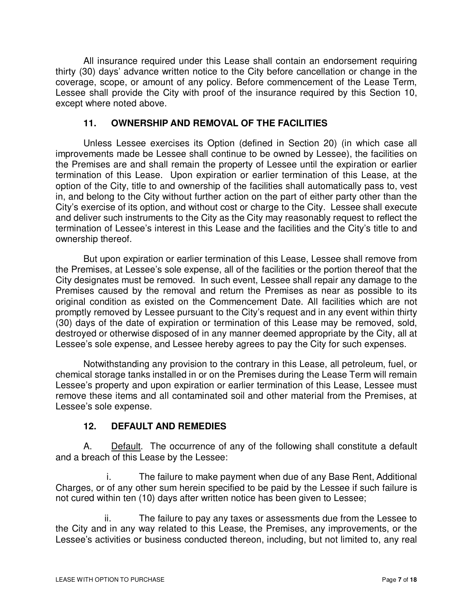All insurance required under this Lease shall contain an endorsement requiring thirty (30) days' advance written notice to the City before cancellation or change in the coverage, scope, or amount of any policy. Before commencement of the Lease Term, Lessee shall provide the City with proof of the insurance required by this Section 10, except where noted above.

### **11. OWNERSHIP AND REMOVAL OF THE FACILITIES**

Unless Lessee exercises its Option (defined in Section 20) (in which case all improvements made be Lessee shall continue to be owned by Lessee), the facilities on the Premises are and shall remain the property of Lessee until the expiration or earlier termination of this Lease. Upon expiration or earlier termination of this Lease, at the option of the City, title to and ownership of the facilities shall automatically pass to, vest in, and belong to the City without further action on the part of either party other than the City's exercise of its option, and without cost or charge to the City. Lessee shall execute and deliver such instruments to the City as the City may reasonably request to reflect the termination of Lessee's interest in this Lease and the facilities and the City's title to and ownership thereof.

But upon expiration or earlier termination of this Lease, Lessee shall remove from the Premises, at Lessee's sole expense, all of the facilities or the portion thereof that the City designates must be removed. In such event, Lessee shall repair any damage to the Premises caused by the removal and return the Premises as near as possible to its original condition as existed on the Commencement Date. All facilities which are not promptly removed by Lessee pursuant to the City's request and in any event within thirty (30) days of the date of expiration or termination of this Lease may be removed, sold, destroyed or otherwise disposed of in any manner deemed appropriate by the City, all at Lessee's sole expense, and Lessee hereby agrees to pay the City for such expenses.

Notwithstanding any provision to the contrary in this Lease, all petroleum, fuel, or chemical storage tanks installed in or on the Premises during the Lease Term will remain Lessee's property and upon expiration or earlier termination of this Lease, Lessee must remove these items and all contaminated soil and other material from the Premises, at Lessee's sole expense.

### **12. DEFAULT AND REMEDIES**

A. Default. The occurrence of any of the following shall constitute a default and a breach of this Lease by the Lessee:

i. The failure to make payment when due of any Base Rent, Additional Charges, or of any other sum herein specified to be paid by the Lessee if such failure is not cured within ten (10) days after written notice has been given to Lessee;

ii. The failure to pay any taxes or assessments due from the Lessee to the City and in any way related to this Lease, the Premises, any improvements, or the Lessee's activities or business conducted thereon, including, but not limited to, any real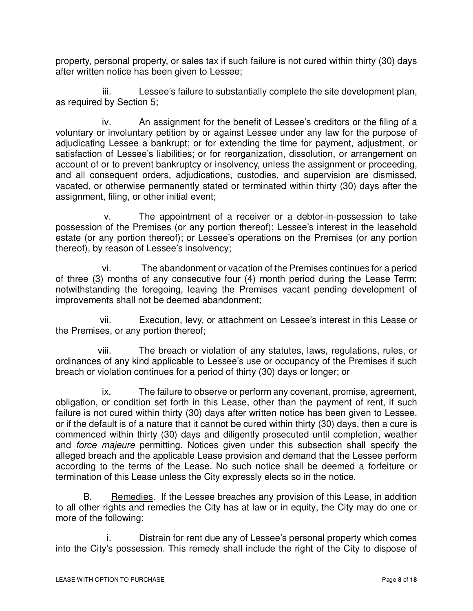property, personal property, or sales tax if such failure is not cured within thirty (30) days after written notice has been given to Lessee;

iii. Lessee's failure to substantially complete the site development plan, as required by Section 5;

iv. An assignment for the benefit of Lessee's creditors or the filing of a voluntary or involuntary petition by or against Lessee under any law for the purpose of adjudicating Lessee a bankrupt; or for extending the time for payment, adjustment, or satisfaction of Lessee's liabilities; or for reorganization, dissolution, or arrangement on account of or to prevent bankruptcy or insolvency, unless the assignment or proceeding, and all consequent orders, adjudications, custodies, and supervision are dismissed, vacated, or otherwise permanently stated or terminated within thirty (30) days after the assignment, filing, or other initial event;

v. The appointment of a receiver or a debtor-in-possession to take possession of the Premises (or any portion thereof); Lessee's interest in the leasehold estate (or any portion thereof); or Lessee's operations on the Premises (or any portion thereof), by reason of Lessee's insolvency;

vi. The abandonment or vacation of the Premises continues for a period of three (3) months of any consecutive four (4) month period during the Lease Term; notwithstanding the foregoing, leaving the Premises vacant pending development of improvements shall not be deemed abandonment;

vii. Execution, levy, or attachment on Lessee's interest in this Lease or the Premises, or any portion thereof;

viii. The breach or violation of any statutes, laws, regulations, rules, or ordinances of any kind applicable to Lessee's use or occupancy of the Premises if such breach or violation continues for a period of thirty (30) days or longer; or

ix. The failure to observe or perform any covenant, promise, agreement, obligation, or condition set forth in this Lease, other than the payment of rent, if such failure is not cured within thirty (30) days after written notice has been given to Lessee, or if the default is of a nature that it cannot be cured within thirty (30) days, then a cure is commenced within thirty (30) days and diligently prosecuted until completion, weather and force majeure permitting. Notices given under this subsection shall specify the alleged breach and the applicable Lease provision and demand that the Lessee perform according to the terms of the Lease. No such notice shall be deemed a forfeiture or termination of this Lease unless the City expressly elects so in the notice.

B. Remedies. If the Lessee breaches any provision of this Lease, in addition to all other rights and remedies the City has at law or in equity, the City may do one or more of the following:

i. Distrain for rent due any of Lessee's personal property which comes into the City's possession. This remedy shall include the right of the City to dispose of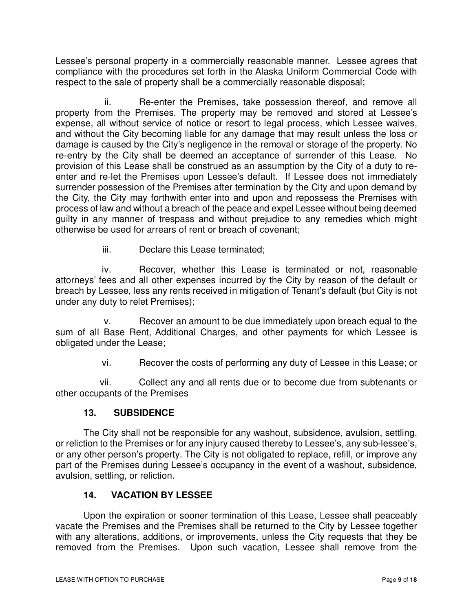Lessee's personal property in a commercially reasonable manner. Lessee agrees that compliance with the procedures set forth in the Alaska Uniform Commercial Code with respect to the sale of property shall be a commercially reasonable disposal;

ii. Re-enter the Premises, take possession thereof, and remove all property from the Premises. The property may be removed and stored at Lessee's expense, all without service of notice or resort to legal process, which Lessee waives, and without the City becoming liable for any damage that may result unless the loss or damage is caused by the City's negligence in the removal or storage of the property. No re-entry by the City shall be deemed an acceptance of surrender of this Lease. No provision of this Lease shall be construed as an assumption by the City of a duty to reenter and re-let the Premises upon Lessee's default. If Lessee does not immediately surrender possession of the Premises after termination by the City and upon demand by the City, the City may forthwith enter into and upon and repossess the Premises with process of law and without a breach of the peace and expel Lessee without being deemed guilty in any manner of trespass and without prejudice to any remedies which might otherwise be used for arrears of rent or breach of covenant;

iii. Declare this Lease terminated;

iv. Recover, whether this Lease is terminated or not, reasonable attorneys' fees and all other expenses incurred by the City by reason of the default or breach by Lessee, less any rents received in mitigation of Tenant's default (but City is not under any duty to relet Premises);

v. Recover an amount to be due immediately upon breach equal to the sum of all Base Rent, Additional Charges, and other payments for which Lessee is obligated under the Lease;

vi. Recover the costs of performing any duty of Lessee in this Lease; or

vii. Collect any and all rents due or to become due from subtenants or other occupants of the Premises

### **13. SUBSIDENCE**

The City shall not be responsible for any washout, subsidence, avulsion, settling, or reliction to the Premises or for any injury caused thereby to Lessee's, any sub-lessee's, or any other person's property. The City is not obligated to replace, refill, or improve any part of the Premises during Lessee's occupancy in the event of a washout, subsidence, avulsion, settling, or reliction.

### **14. VACATION BY LESSEE**

Upon the expiration or sooner termination of this Lease, Lessee shall peaceably vacate the Premises and the Premises shall be returned to the City by Lessee together with any alterations, additions, or improvements, unless the City requests that they be removed from the Premises. Upon such vacation, Lessee shall remove from the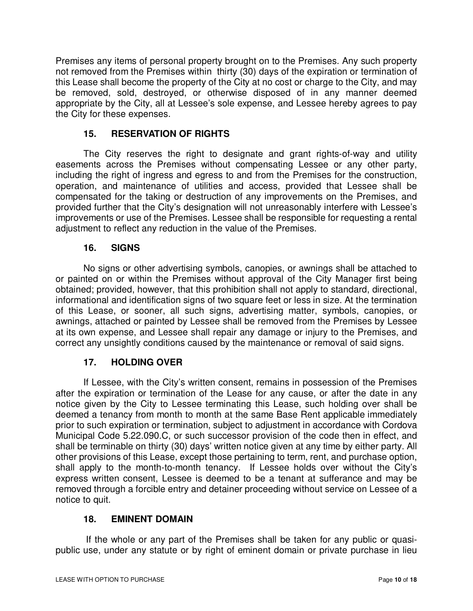Premises any items of personal property brought on to the Premises. Any such property not removed from the Premises within thirty (30) days of the expiration or termination of this Lease shall become the property of the City at no cost or charge to the City, and may be removed, sold, destroyed, or otherwise disposed of in any manner deemed appropriate by the City, all at Lessee's sole expense, and Lessee hereby agrees to pay the City for these expenses.

### **15. RESERVATION OF RIGHTS**

The City reserves the right to designate and grant rights-of-way and utility easements across the Premises without compensating Lessee or any other party, including the right of ingress and egress to and from the Premises for the construction, operation, and maintenance of utilities and access, provided that Lessee shall be compensated for the taking or destruction of any improvements on the Premises, and provided further that the City's designation will not unreasonably interfere with Lessee's improvements or use of the Premises. Lessee shall be responsible for requesting a rental adjustment to reflect any reduction in the value of the Premises.

#### **16. SIGNS**

No signs or other advertising symbols, canopies, or awnings shall be attached to or painted on or within the Premises without approval of the City Manager first being obtained; provided, however, that this prohibition shall not apply to standard, directional, informational and identification signs of two square feet or less in size. At the termination of this Lease, or sooner, all such signs, advertising matter, symbols, canopies, or awnings, attached or painted by Lessee shall be removed from the Premises by Lessee at its own expense, and Lessee shall repair any damage or injury to the Premises, and correct any unsightly conditions caused by the maintenance or removal of said signs.

### **17. HOLDING OVER**

If Lessee, with the City's written consent, remains in possession of the Premises after the expiration or termination of the Lease for any cause, or after the date in any notice given by the City to Lessee terminating this Lease, such holding over shall be deemed a tenancy from month to month at the same Base Rent applicable immediately prior to such expiration or termination, subject to adjustment in accordance with Cordova Municipal Code 5.22.090.C, or such successor provision of the code then in effect, and shall be terminable on thirty (30) days' written notice given at any time by either party. All other provisions of this Lease, except those pertaining to term, rent, and purchase option, shall apply to the month-to-month tenancy. If Lessee holds over without the City's express written consent, Lessee is deemed to be a tenant at sufferance and may be removed through a forcible entry and detainer proceeding without service on Lessee of a notice to quit.

### **18. EMINENT DOMAIN**

If the whole or any part of the Premises shall be taken for any public or quasipublic use, under any statute or by right of eminent domain or private purchase in lieu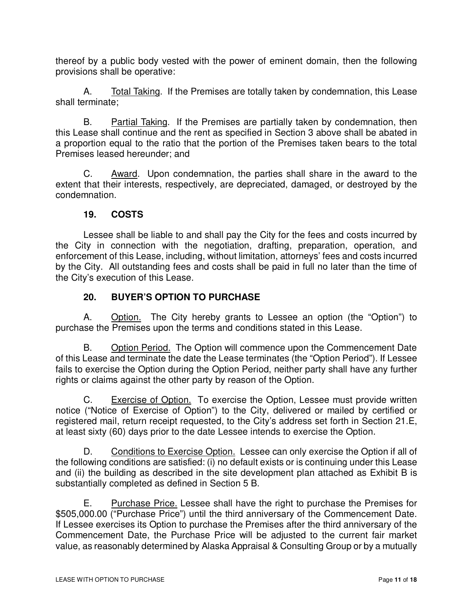thereof by a public body vested with the power of eminent domain, then the following provisions shall be operative:

A. Total Taking. If the Premises are totally taken by condemnation, this Lease shall terminate;

B. Partial Taking. If the Premises are partially taken by condemnation, then this Lease shall continue and the rent as specified in Section 3 above shall be abated in a proportion equal to the ratio that the portion of the Premises taken bears to the total Premises leased hereunder; and

C. Award. Upon condemnation, the parties shall share in the award to the extent that their interests, respectively, are depreciated, damaged, or destroyed by the condemnation.

#### **19. COSTS**

Lessee shall be liable to and shall pay the City for the fees and costs incurred by the City in connection with the negotiation, drafting, preparation, operation, and enforcement of this Lease, including, without limitation, attorneys' fees and costs incurred by the City. All outstanding fees and costs shall be paid in full no later than the time of the City's execution of this Lease.

### **20. BUYER'S OPTION TO PURCHASE**

A. Option. The City hereby grants to Lessee an option (the "Option") to purchase the Premises upon the terms and conditions stated in this Lease.

B. Option Period. The Option will commence upon the Commencement Date of this Lease and terminate the date the Lease terminates (the "Option Period"). If Lessee fails to exercise the Option during the Option Period, neither party shall have any further rights or claims against the other party by reason of the Option.

C. Exercise of Option. To exercise the Option, Lessee must provide written notice ("Notice of Exercise of Option") to the City, delivered or mailed by certified or registered mail, return receipt requested, to the City's address set forth in Section 21.E, at least sixty (60) days prior to the date Lessee intends to exercise the Option.

D. Conditions to Exercise Option. Lessee can only exercise the Option if all of the following conditions are satisfied: (i) no default exists or is continuing under this Lease and (ii) the building as described in the site development plan attached as Exhibit B is substantially completed as defined in Section 5 B.

E. Purchase Price. Lessee shall have the right to purchase the Premises for \$505,000.00 ("Purchase Price") until the third anniversary of the Commencement Date. If Lessee exercises its Option to purchase the Premises after the third anniversary of the Commencement Date, the Purchase Price will be adjusted to the current fair market value, as reasonably determined by Alaska Appraisal & Consulting Group or by a mutually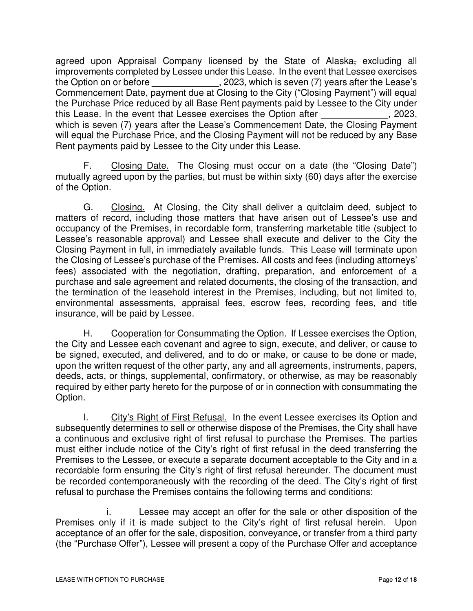agreed upon Appraisal Company licensed by the State of Alaska<sub>r</sub> excluding all improvements completed by Lessee under this Lease. In the event that Lessee exercises the Option on or before  $\sim$ , 2023, which is seven (7) years after the Lease's Commencement Date, payment due at Closing to the City ("Closing Payment") will equal the Purchase Price reduced by all Base Rent payments paid by Lessee to the City under this Lease. In the event that Lessee exercises the Option after  $\sim$  . 2023, which is seven (7) years after the Lease's Commencement Date, the Closing Payment will equal the Purchase Price, and the Closing Payment will not be reduced by any Base Rent payments paid by Lessee to the City under this Lease.

F. Closing Date. The Closing must occur on a date (the "Closing Date") mutually agreed upon by the parties, but must be within sixty (60) days after the exercise of the Option.

G. Closing. At Closing, the City shall deliver a quitclaim deed, subject to matters of record, including those matters that have arisen out of Lessee's use and occupancy of the Premises, in recordable form, transferring marketable title (subject to Lessee's reasonable approval) and Lessee shall execute and deliver to the City the Closing Payment in full, in immediately available funds. This Lease will terminate upon the Closing of Lessee's purchase of the Premises. All costs and fees (including attorneys' fees) associated with the negotiation, drafting, preparation, and enforcement of a purchase and sale agreement and related documents, the closing of the transaction, and the termination of the leasehold interest in the Premises, including, but not limited to, environmental assessments, appraisal fees, escrow fees, recording fees, and title insurance, will be paid by Lessee.

H. Cooperation for Consummating the Option. If Lessee exercises the Option, the City and Lessee each covenant and agree to sign, execute, and deliver, or cause to be signed, executed, and delivered, and to do or make, or cause to be done or made, upon the written request of the other party, any and all agreements, instruments, papers, deeds, acts, or things, supplemental, confirmatory, or otherwise, as may be reasonably required by either party hereto for the purpose of or in connection with consummating the Option.

I. City's Right of First Refusal. In the event Lessee exercises its Option and subsequently determines to sell or otherwise dispose of the Premises, the City shall have a continuous and exclusive right of first refusal to purchase the Premises. The parties must either include notice of the City's right of first refusal in the deed transferring the Premises to the Lessee, or execute a separate document acceptable to the City and in a recordable form ensuring the City's right of first refusal hereunder. The document must be recorded contemporaneously with the recording of the deed. The City's right of first refusal to purchase the Premises contains the following terms and conditions:

i. Lessee may accept an offer for the sale or other disposition of the Premises only if it is made subject to the City's right of first refusal herein. Upon acceptance of an offer for the sale, disposition, conveyance, or transfer from a third party (the "Purchase Offer"), Lessee will present a copy of the Purchase Offer and acceptance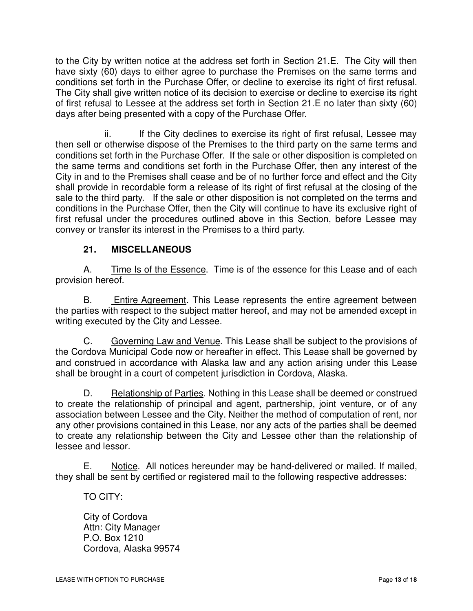to the City by written notice at the address set forth in Section 21.E. The City will then have sixty (60) days to either agree to purchase the Premises on the same terms and conditions set forth in the Purchase Offer, or decline to exercise its right of first refusal. The City shall give written notice of its decision to exercise or decline to exercise its right of first refusal to Lessee at the address set forth in Section 21.E no later than sixty (60) days after being presented with a copy of the Purchase Offer.

ii. If the City declines to exercise its right of first refusal, Lessee may then sell or otherwise dispose of the Premises to the third party on the same terms and conditions set forth in the Purchase Offer. If the sale or other disposition is completed on the same terms and conditions set forth in the Purchase Offer, then any interest of the City in and to the Premises shall cease and be of no further force and effect and the City shall provide in recordable form a release of its right of first refusal at the closing of the sale to the third party. If the sale or other disposition is not completed on the terms and conditions in the Purchase Offer, then the City will continue to have its exclusive right of first refusal under the procedures outlined above in this Section, before Lessee may convey or transfer its interest in the Premises to a third party.

## **21. MISCELLANEOUS**

A. Time Is of the Essence. Time is of the essence for this Lease and of each provision hereof.

B. Entire Agreement. This Lease represents the entire agreement between the parties with respect to the subject matter hereof, and may not be amended except in writing executed by the City and Lessee.

C. Governing Law and Venue. This Lease shall be subject to the provisions of the Cordova Municipal Code now or hereafter in effect. This Lease shall be governed by and construed in accordance with Alaska law and any action arising under this Lease shall be brought in a court of competent jurisdiction in Cordova, Alaska.

D. Relationship of Parties. Nothing in this Lease shall be deemed or construed to create the relationship of principal and agent, partnership, joint venture, or of any association between Lessee and the City. Neither the method of computation of rent, nor any other provisions contained in this Lease, nor any acts of the parties shall be deemed to create any relationship between the City and Lessee other than the relationship of lessee and lessor.

E. Notice. All notices hereunder may be hand-delivered or mailed. If mailed, they shall be sent by certified or registered mail to the following respective addresses:

TO CITY:

City of Cordova Attn: City Manager P.O. Box 1210 Cordova, Alaska 99574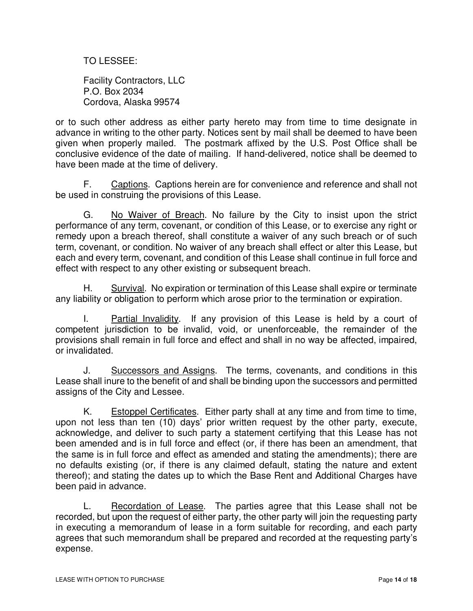TO LESSEE:

Facility Contractors, LLC P.O. Box 2034 Cordova, Alaska 99574

or to such other address as either party hereto may from time to time designate in advance in writing to the other party. Notices sent by mail shall be deemed to have been given when properly mailed. The postmark affixed by the U.S. Post Office shall be conclusive evidence of the date of mailing. If hand-delivered, notice shall be deemed to have been made at the time of delivery.

F. Captions. Captions herein are for convenience and reference and shall not be used in construing the provisions of this Lease.

G. No Waiver of Breach. No failure by the City to insist upon the strict performance of any term, covenant, or condition of this Lease, or to exercise any right or remedy upon a breach thereof, shall constitute a waiver of any such breach or of such term, covenant, or condition. No waiver of any breach shall effect or alter this Lease, but each and every term, covenant, and condition of this Lease shall continue in full force and effect with respect to any other existing or subsequent breach.

H. Survival. No expiration or termination of this Lease shall expire or terminate any liability or obligation to perform which arose prior to the termination or expiration.

I. Partial Invalidity. If any provision of this Lease is held by a court of competent jurisdiction to be invalid, void, or unenforceable, the remainder of the provisions shall remain in full force and effect and shall in no way be affected, impaired, or invalidated.

J. Successors and Assigns. The terms, covenants, and conditions in this Lease shall inure to the benefit of and shall be binding upon the successors and permitted assigns of the City and Lessee.

K. Estoppel Certificates. Either party shall at any time and from time to time, upon not less than ten (10) days' prior written request by the other party, execute, acknowledge, and deliver to such party a statement certifying that this Lease has not been amended and is in full force and effect (or, if there has been an amendment, that the same is in full force and effect as amended and stating the amendments); there are no defaults existing (or, if there is any claimed default, stating the nature and extent thereof); and stating the dates up to which the Base Rent and Additional Charges have been paid in advance.

L. Recordation of Lease. The parties agree that this Lease shall not be recorded, but upon the request of either party, the other party will join the requesting party in executing a memorandum of lease in a form suitable for recording, and each party agrees that such memorandum shall be prepared and recorded at the requesting party's expense.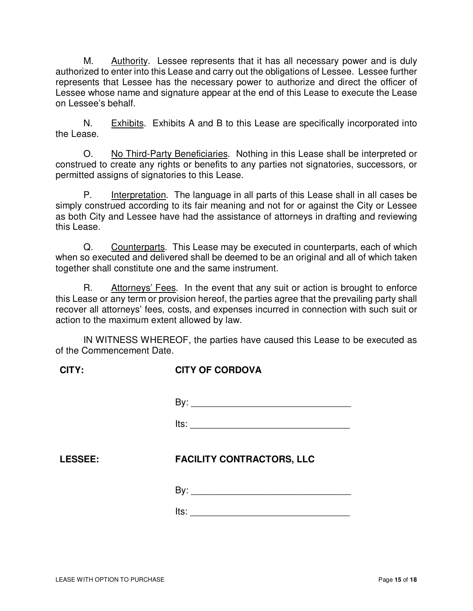M. Authority. Lessee represents that it has all necessary power and is duly authorized to enter into this Lease and carry out the obligations of Lessee. Lessee further represents that Lessee has the necessary power to authorize and direct the officer of Lessee whose name and signature appear at the end of this Lease to execute the Lease on Lessee's behalf.

N. Exhibits. Exhibits A and B to this Lease are specifically incorporated into the Lease.

O. No Third-Party Beneficiaries. Nothing in this Lease shall be interpreted or construed to create any rights or benefits to any parties not signatories, successors, or permitted assigns of signatories to this Lease.

P. Interpretation. The language in all parts of this Lease shall in all cases be simply construed according to its fair meaning and not for or against the City or Lessee as both City and Lessee have had the assistance of attorneys in drafting and reviewing this Lease.

Q. Counterparts. This Lease may be executed in counterparts, each of which when so executed and delivered shall be deemed to be an original and all of which taken together shall constitute one and the same instrument.

R. Attorneys' Fees. In the event that any suit or action is brought to enforce this Lease or any term or provision hereof, the parties agree that the prevailing party shall recover all attorneys' fees, costs, and expenses incurred in connection with such suit or action to the maximum extent allowed by law.

IN WITNESS WHEREOF, the parties have caused this Lease to be executed as of the Commencement Date.

| <b>CITY:</b> | <b>CITY OF CORDOVA</b> |  |
|--------------|------------------------|--|
|              |                        |  |
|              |                        |  |

 $\mathsf{By:}$ 

<u>|</u><br>|ts:

# **LESSEE: FACILITY CONTRACTORS, LLC**

By: \_\_\_\_\_\_\_\_\_\_\_\_\_\_\_\_\_\_\_\_\_\_\_\_\_\_\_\_\_\_\_

 $\blacksquare$  its: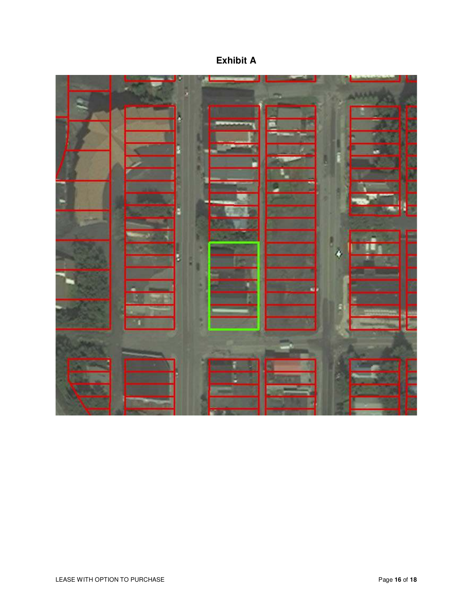| <b>Exhibit A</b> |
|------------------|
|                  |

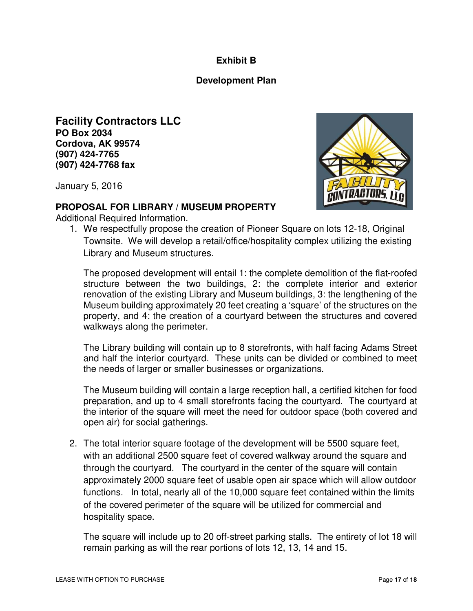### **Exhibit B**

#### **Development Plan**

**Facility Contractors LLC PO Box 2034 Cordova, AK 99574 (907) 424-7765 (907) 424-7768 fax**

January 5, 2016



#### **PROPOSAL FOR LIBRARY / MUSEUM PROPERTY**

Additional Required Information.

1. We respectfully propose the creation of Pioneer Square on lots 12-18, Original Townsite. We will develop a retail/office/hospitality complex utilizing the existing Library and Museum structures.

The proposed development will entail 1: the complete demolition of the flat-roofed structure between the two buildings, 2: the complete interior and exterior renovation of the existing Library and Museum buildings, 3: the lengthening of the Museum building approximately 20 feet creating a 'square' of the structures on the property, and 4: the creation of a courtyard between the structures and covered walkways along the perimeter.

The Library building will contain up to 8 storefronts, with half facing Adams Street and half the interior courtyard. These units can be divided or combined to meet the needs of larger or smaller businesses or organizations.

The Museum building will contain a large reception hall, a certified kitchen for food preparation, and up to 4 small storefronts facing the courtyard. The courtyard at the interior of the square will meet the need for outdoor space (both covered and open air) for social gatherings.

2. The total interior square footage of the development will be 5500 square feet, with an additional 2500 square feet of covered walkway around the square and through the courtyard. The courtyard in the center of the square will contain approximately 2000 square feet of usable open air space which will allow outdoor functions. In total, nearly all of the 10,000 square feet contained within the limits of the covered perimeter of the square will be utilized for commercial and hospitality space.

The square will include up to 20 off-street parking stalls. The entirety of lot 18 will remain parking as will the rear portions of lots 12, 13, 14 and 15.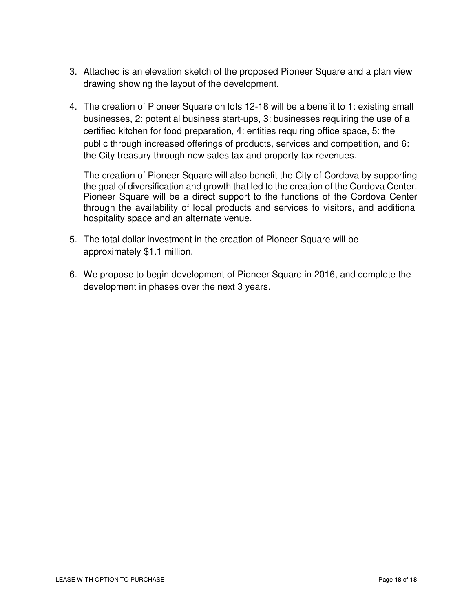- 3. Attached is an elevation sketch of the proposed Pioneer Square and a plan view drawing showing the layout of the development.
- 4. The creation of Pioneer Square on lots 12-18 will be a benefit to 1: existing small businesses, 2: potential business start-ups, 3: businesses requiring the use of a certified kitchen for food preparation, 4: entities requiring office space, 5: the public through increased offerings of products, services and competition, and 6: the City treasury through new sales tax and property tax revenues.

The creation of Pioneer Square will also benefit the City of Cordova by supporting the goal of diversification and growth that led to the creation of the Cordova Center. Pioneer Square will be a direct support to the functions of the Cordova Center through the availability of local products and services to visitors, and additional hospitality space and an alternate venue.

- 5. The total dollar investment in the creation of Pioneer Square will be approximately \$1.1 million.
- 6. We propose to begin development of Pioneer Square in 2016, and complete the development in phases over the next 3 years.